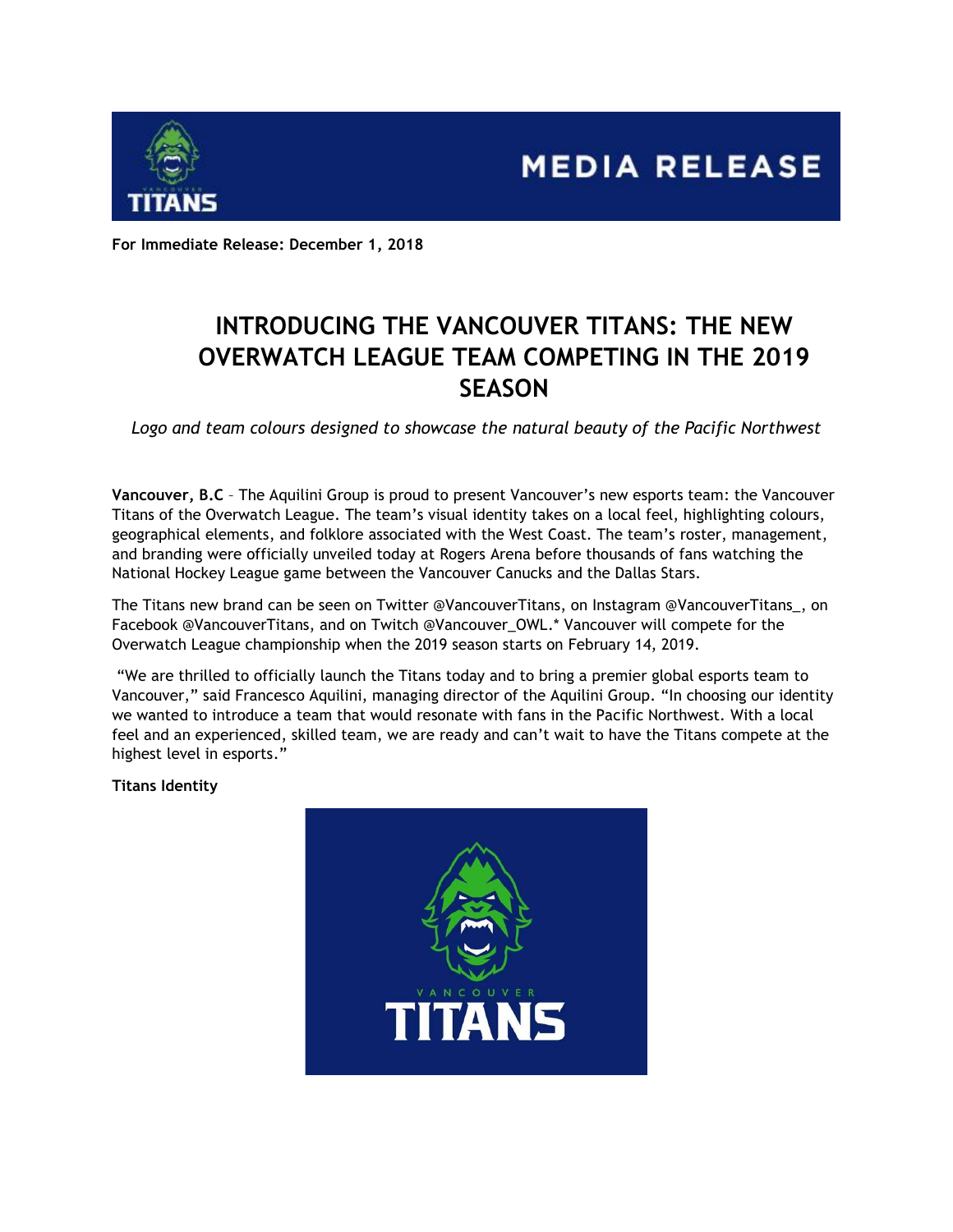



**For Immediate Release: December 1, 2018**

# **INTRODUCING THE VANCOUVER TITANS: THE NEW OVERWATCH LEAGUE TEAM COMPETING IN THE 2019 SEASON**

*Logo and team colours designed to showcase the natural beauty of the Pacific Northwest*

**Vancouver, B.C** – The Aquilini Group is proud to present Vancouver's new esports team: the Vancouver Titans of the Overwatch League. The team's visual identity takes on a local feel, highlighting colours, geographical elements, and folklore associated with the West Coast. The team's roster, management, and branding were officially unveiled today at Rogers Arena before thousands of fans watching the National Hockey League game between the Vancouver Canucks and the Dallas Stars.

The Titans new brand can be seen on Twitter @VancouverTitans, on Instagram @VancouverTitans\_, on Facebook @VancouverTitans, and on Twitch @Vancouver\_OWL.\* Vancouver will compete for the Overwatch League championship when the 2019 season starts on February 14, 2019.

"We are thrilled to officially launch the Titans today and to bring a premier global esports team to Vancouver," said Francesco Aquilini, managing director of the Aquilini Group. "In choosing our identity we wanted to introduce a team that would resonate with fans in the Pacific Northwest. With a local feel and an experienced, skilled team, we are ready and can't wait to have the Titans compete at the highest level in esports."

**Titans Identity**